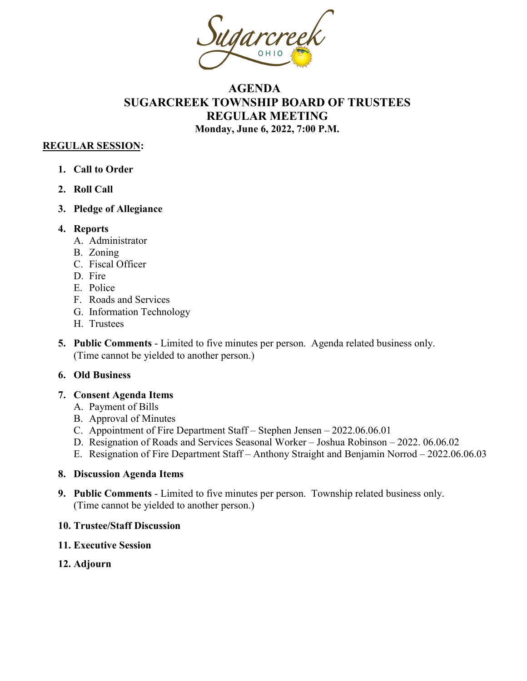

# **AGENDA SUGARCREEK TOWNSHIP BOARD OF TRUSTEES REGULAR MEETING Monday, June 6, 2022, 7:00 P.M.**

### **REGULAR SESSION:**

- **1. Call to Order**
- **2. Roll Call**
- **3. Pledge of Allegiance**
- **4. Reports**
	- A. Administrator
	- B. Zoning
	- C. Fiscal Officer
	- D. Fire
	- E. Police
	- F. Roads and Services
	- G. Information Technology
	- H. Trustees
- **5. Public Comments**  Limited to five minutes per person. Agenda related business only. (Time cannot be yielded to another person.)

## **6. Old Business**

#### **7. Consent Agenda Items**

- A. Payment of Bills
- B. Approval of Minutes
- C. Appointment of Fire Department Staff Stephen Jensen 2022.06.06.01
- D. Resignation of Roads and Services Seasonal Worker Joshua Robinson 2022. 06.06.02
- E. Resignation of Fire Department Staff Anthony Straight and Benjamin Norrod 2022.06.06.03

#### **8. Discussion Agenda Items**

**9. Public Comments** - Limited to five minutes per person. Township related business only. (Time cannot be yielded to another person.)

#### **10. Trustee/Staff Discussion**

- **11. Executive Session**
- **12. Adjourn**